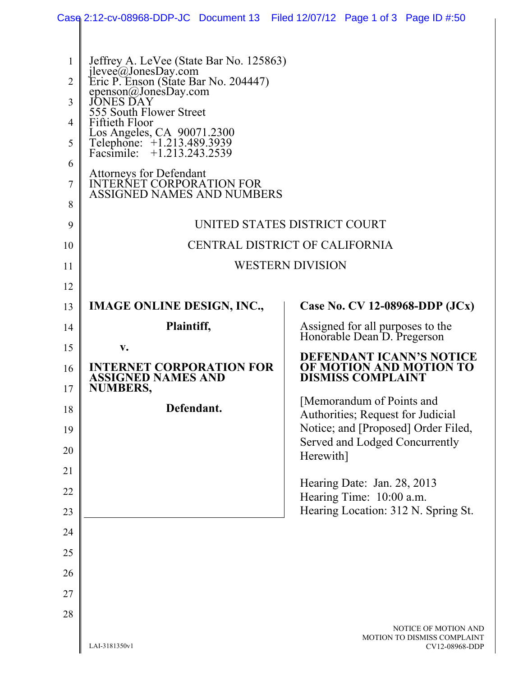|                | Case 2:12-cv-08968-DDP-JC Document 13 Filed 12/07/12 Page 1 of 3 Page ID #:50            |  |  |                                                                          |                                                                 |                                               |  |  |  |  |
|----------------|------------------------------------------------------------------------------------------|--|--|--------------------------------------------------------------------------|-----------------------------------------------------------------|-----------------------------------------------|--|--|--|--|
|                |                                                                                          |  |  |                                                                          |                                                                 |                                               |  |  |  |  |
| 1              | Jeffrey A. LeVee (State Bar No. 125863)                                                  |  |  |                                                                          |                                                                 |                                               |  |  |  |  |
| $\overline{2}$ | jlevee@JonesDay.com<br>Eric P. Enson (State Bar No. 204447)                              |  |  |                                                                          |                                                                 |                                               |  |  |  |  |
| 3              | epenson@JonesDay.com<br>555 South Flower Street                                          |  |  |                                                                          |                                                                 |                                               |  |  |  |  |
| $\overline{4}$ | Fiftieth Floor                                                                           |  |  |                                                                          |                                                                 |                                               |  |  |  |  |
| 5              | Los Angeles, CA 90071.2300<br>Telephone: +1.213.489.3939<br>Facsimile: +1.213.243.2539   |  |  |                                                                          |                                                                 |                                               |  |  |  |  |
| 6              |                                                                                          |  |  |                                                                          |                                                                 |                                               |  |  |  |  |
| 7              | Attorneys for Defendant<br>INTERNET CORPORATION FOR<br><b>ASSIGNED NAMES AND NUMBERS</b> |  |  |                                                                          |                                                                 |                                               |  |  |  |  |
| 8              |                                                                                          |  |  |                                                                          |                                                                 |                                               |  |  |  |  |
| 9              | UNITED STATES DISTRICT COURT                                                             |  |  |                                                                          |                                                                 |                                               |  |  |  |  |
| 10             | CENTRAL DISTRICT OF CALIFORNIA                                                           |  |  |                                                                          |                                                                 |                                               |  |  |  |  |
| 11             | <b>WESTERN DIVISION</b>                                                                  |  |  |                                                                          |                                                                 |                                               |  |  |  |  |
| 12             |                                                                                          |  |  |                                                                          |                                                                 |                                               |  |  |  |  |
| 13             | <b>IMAGE ONLINE DESIGN, INC.,</b>                                                        |  |  |                                                                          |                                                                 | Case No. CV 12-08968-DDP $(JCx)$              |  |  |  |  |
| 14             | Plaintiff,                                                                               |  |  |                                                                          | Assigned for all purposes to the<br>Honorable Dean D. Pregerson |                                               |  |  |  |  |
| 15             | $V_{\bullet}$                                                                            |  |  |                                                                          |                                                                 | <b>DEFENDANT ICANN'S NOTICE</b>               |  |  |  |  |
| 16<br>17       | <b>INTERNET CORPORATION FOR</b><br><b>ASSIGNED NAMES AND</b><br><b>NUMBERS,</b>          |  |  | OF MOTION AND MOTION TO<br><b>DISMISS COMPLAINT</b>                      |                                                                 |                                               |  |  |  |  |
| 18             | Defendant.                                                                               |  |  | [Memorandum of Points and                                                |                                                                 |                                               |  |  |  |  |
| 19             |                                                                                          |  |  | Authorities; Request for Judicial<br>Notice; and [Proposed] Order Filed, |                                                                 |                                               |  |  |  |  |
|                |                                                                                          |  |  |                                                                          | Served and Lodged Concurrently                                  |                                               |  |  |  |  |
| 20             |                                                                                          |  |  | Herewith]                                                                |                                                                 |                                               |  |  |  |  |
| 21             |                                                                                          |  |  |                                                                          | Hearing Date: Jan. 28, 2013                                     |                                               |  |  |  |  |
| 22             |                                                                                          |  |  |                                                                          | Hearing Time: 10:00 a.m.                                        |                                               |  |  |  |  |
| 23             |                                                                                          |  |  |                                                                          |                                                                 | Hearing Location: 312 N. Spring St.           |  |  |  |  |
| 24             |                                                                                          |  |  |                                                                          |                                                                 |                                               |  |  |  |  |
| 25             |                                                                                          |  |  |                                                                          |                                                                 |                                               |  |  |  |  |
| 26             |                                                                                          |  |  |                                                                          |                                                                 |                                               |  |  |  |  |
| 27             |                                                                                          |  |  |                                                                          |                                                                 |                                               |  |  |  |  |
| 28             |                                                                                          |  |  |                                                                          |                                                                 | NOTICE OF MOTION AND                          |  |  |  |  |
|                | LAI-3181350v1                                                                            |  |  |                                                                          |                                                                 | MOTION TO DISMISS COMPLAINT<br>CV12-08968-DDP |  |  |  |  |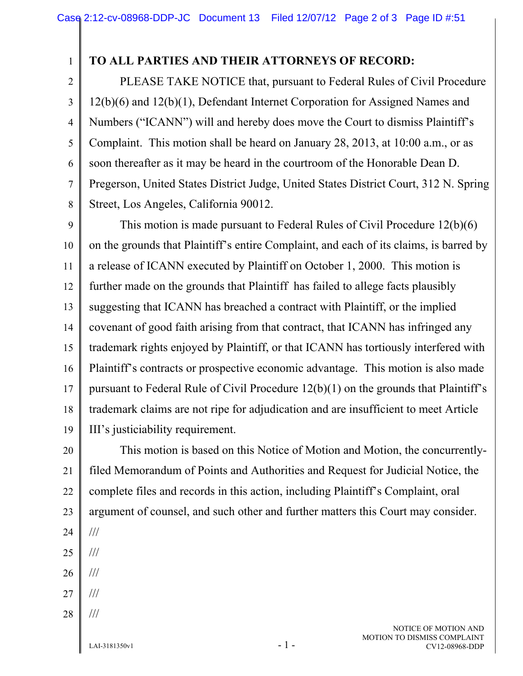## 1 2

## **TO ALL PARTIES AND THEIR ATTORNEYS OF RECORD:**

3 4 5 6 7 8 PLEASE TAKE NOTICE that, pursuant to Federal Rules of Civil Procedure 12(b)(6) and 12(b)(1), Defendant Internet Corporation for Assigned Names and Numbers ("ICANN") will and hereby does move the Court to dismiss Plaintiff's Complaint. This motion shall be heard on January 28, 2013, at 10:00 a.m., or as soon thereafter as it may be heard in the courtroom of the Honorable Dean D. Pregerson, United States District Judge, United States District Court, 312 N. Spring Street, Los Angeles, California 90012.

9 10 11 12 13 14 15 16 17 18 19 This motion is made pursuant to Federal Rules of Civil Procedure 12(b)(6) on the grounds that Plaintiff's entire Complaint, and each of its claims, is barred by a release of ICANN executed by Plaintiff on October 1, 2000. This motion is further made on the grounds that Plaintiff has failed to allege facts plausibly suggesting that ICANN has breached a contract with Plaintiff, or the implied covenant of good faith arising from that contract, that ICANN has infringed any trademark rights enjoyed by Plaintiff, or that ICANN has tortiously interfered with Plaintiff's contracts or prospective economic advantage. This motion is also made pursuant to Federal Rule of Civil Procedure 12(b)(1) on the grounds that Plaintiff's trademark claims are not ripe for adjudication and are insufficient to meet Article III's justiciability requirement.

20 21 22 23 24 This motion is based on this Notice of Motion and Motion, the concurrentlyfiled Memorandum of Points and Authorities and Request for Judicial Notice, the complete files and records in this action, including Plaintiff's Complaint, oral argument of counsel, and such other and further matters this Court may consider. ///

- 25 ///
- 26 ///
- 27 ///
- 28 ///